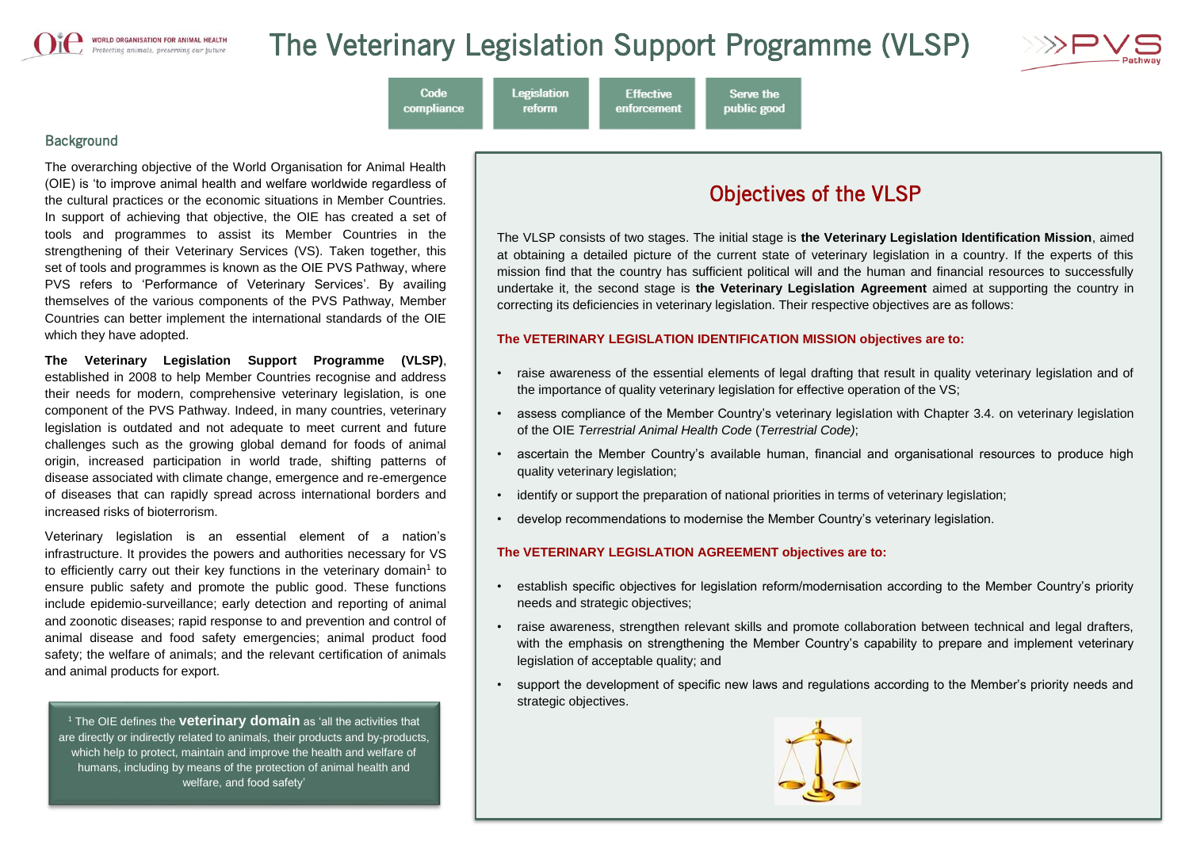

# The Veterinary Legislation Support Programme (VLSP)

**Effective** 

enforcement

**Legislation** 

reform

Code

compliance



**Background** 

The overarching objective of the World Organisation for Animal Health (OIE) is 'to improve animal health and welfare worldwide regardless of the cultural practices or the economic situations in Member Countries. In support of achieving that objective, the OIE has created a set of tools and programmes to assist its Member Countries in the strengthening of their Veterinary Services (VS). Taken together, this set of tools and programmes is known as the OIE PVS Pathway, where PVS refers to 'Performance of Veterinary Services'. By availing themselves of the various components of the PVS Pathway, Member Countries can better implement the international standards of the OIE which they have adopted.

**The Veterinary Legislation Support Programme (VLSP)**, established in 2008 to help Member Countries recognise and address their needs for modern, comprehensive veterinary legislation, is one component of the PVS Pathway. Indeed, in many countries, veterinary legislation is outdated and not adequate to meet current and future challenges such as the growing global demand for foods of animal origin, increased participation in world trade, shifting patterns of disease associated with climate change, emergence and re-emergence of diseases that can rapidly spread across international borders and increased risks of bioterrorism.

Veterinary legislation is an essential element of a nation's infrastructure. It provides the powers and authorities necessary for VS to efficiently carry out their key functions in the veterinary domain<sup>1</sup> to ensure public safety and promote the public good. These functions include epidemio-surveillance; early detection and reporting of animal and zoonotic diseases; rapid response to and prevention and control of animal disease and food safety emergencies; animal product food safety; the welfare of animals; and the relevant certification of animals and animal products for export.

<sup>1</sup> The OIE defines the **veterinary domain** as 'all the activities that are directly or indirectly related to animals, their products and by-products, which help to protect, maintain and improve the health and welfare of humans, including by means of the protection of animal health and welfare, and food safety'

# Objectives of the VLSP

The VLSP consists of two stages. The initial stage is **the Veterinary Legislation Identification Mission**, aimed at obtaining a detailed picture of the current state of veterinary legislation in a country. If the experts of this mission find that the country has sufficient political will and the human and financial resources to successfully undertake it, the second stage is **the Veterinary Legislation Agreement** aimed at supporting the country in correcting its deficiencies in veterinary legislation. Their respective objectives are as follows:

#### **The VETERINARY LEGISLATION IDENTIFICATION MISSION objectives are to:**

Serve the

public good

- raise awareness of the essential elements of legal drafting that result in quality veterinary legislation and of the importance of quality veterinary legislation for effective operation of the VS;
- assess compliance of the Member Country's veterinary legislation with Chapter 3.4. on veterinary legislation of the OIE *Terrestrial Animal Health Code* (*Terrestrial Code)*;
- ascertain the Member Country's available human, financial and organisational resources to produce high quality veterinary legislation;
- identify or support the preparation of national priorities in terms of veterinary legislation;
- develop recommendations to modernise the Member Country's veterinary legislation.

#### **The VETERINARY LEGISLATION AGREEMENT objectives are to:**

- establish specific objectives for legislation reform/modernisation according to the Member Country's priority needs and strategic objectives;
- raise awareness, strengthen relevant skills and promote collaboration between technical and legal drafters, with the emphasis on strengthening the Member Country's capability to prepare and implement veterinary legislation of acceptable quality; and
- support the development of specific new laws and regulations according to the Member's priority needs and strategic objectives.